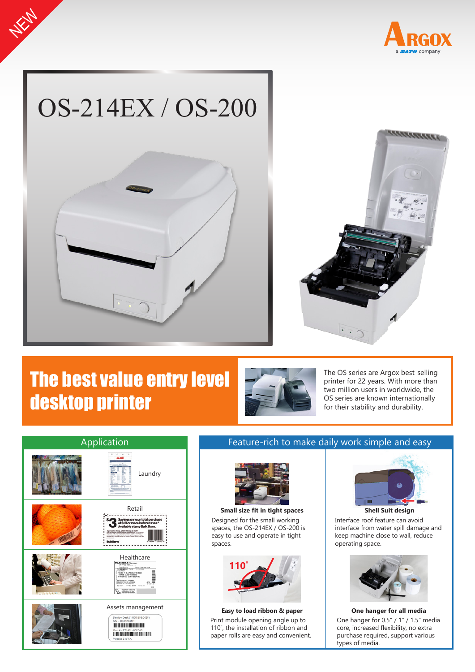



**NEWS** 



# The best value entry level desktop printer



The OS series are Argox best-selling printer for 22 years. With more than two million users in worldwide, the OS series are known internationally for their stability and durability.



### Feature-rich to make daily work simple and easy



Designed for the small working spaces, the OS-214EX / OS-200 is easy to use and operate in tight spaces. **Small size fit in tight spaces Shell Suit design**



Print module opening angle up to 110˚, the installation of ribbon and paper rolls are easy and convenient.



Interface roof feature can avoid interface from water spill damage and keep machine close to wall, reduce operating space.



One hanger for 0.5" / 1" / 1.5" media core, increased flexibility, no extra purchase required, support various types of media. **Easy to load ribbon & paper One hanger for all media**